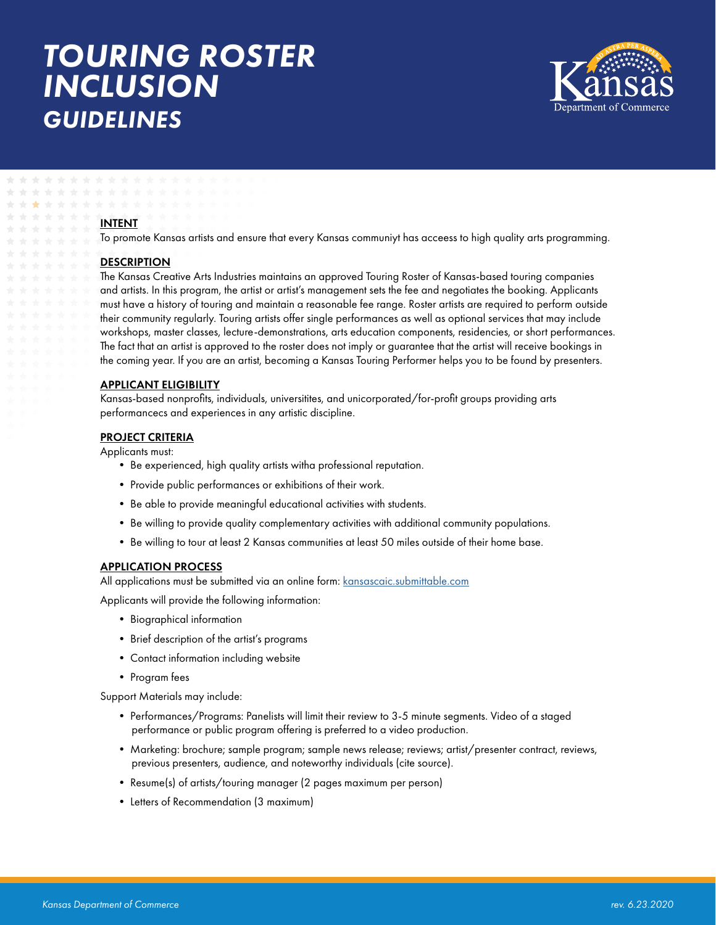# *TOURING ROSTER INCLUSION GUIDELINES*



#### INTENT

To promote Kansas artists and ensure that every Kansas communiyt has acceess to high quality arts programming.

## **DESCRIPTION**

The Kansas Creative Arts Industries maintains an approved Touring Roster of Kansas-based touring companies and artists. In this program, the artist or artist's management sets the fee and negotiates the booking. Applicants must have a history of touring and maintain a reasonable fee range. Roster artists are required to perform outside their community regularly. Touring artists offer single performances as well as optional services that may include workshops, master classes, lecture-demonstrations, arts education components, residencies, or short performances. The fact that an artist is approved to the roster does not imply or guarantee that the artist will receive bookings in the coming year. If you are an artist, becoming a Kansas Touring Performer helps you to be found by presenters.

#### APPLICANT ELIGIBILITY

Kansas-based nonprofits, individuals, universitites, and unicorporated/for-profit groups providing arts performancecs and experiences in any artistic discipline.

#### PROJECT CRITERIA

Applicants must:

- Be experienced, high quality artists witha professional reputation.
- Provide public performances or exhibitions of their work.
- Be able to provide meaningful educational activities with students.
- Be willing to provide quality complementary activities with additional community populations.
- Be willing to tour at least 2 Kansas communities at least 50 miles outside of their home base.

#### APPLICATION PROCESS

All applications must be submitted via an online form: [kansascaic.submittable.com](http://kansascaic.submittable.com)

Applicants will provide the following information:

- Biographical information
- Brief description of the artist's programs
- Contact information including website
- Program fees

Support Materials may include:

- Performances/Programs: Panelists will limit their review to 3-5 minute segments. Video of a staged performance or public program offering is preferred to a video production.
- Marketing: brochure; sample program; sample news release; reviews; artist/presenter contract, reviews, previous presenters, audience, and noteworthy individuals (cite source).
- Resume(s) of artists/touring manager (2 pages maximum per person)
- Letters of Recommendation (3 maximum)